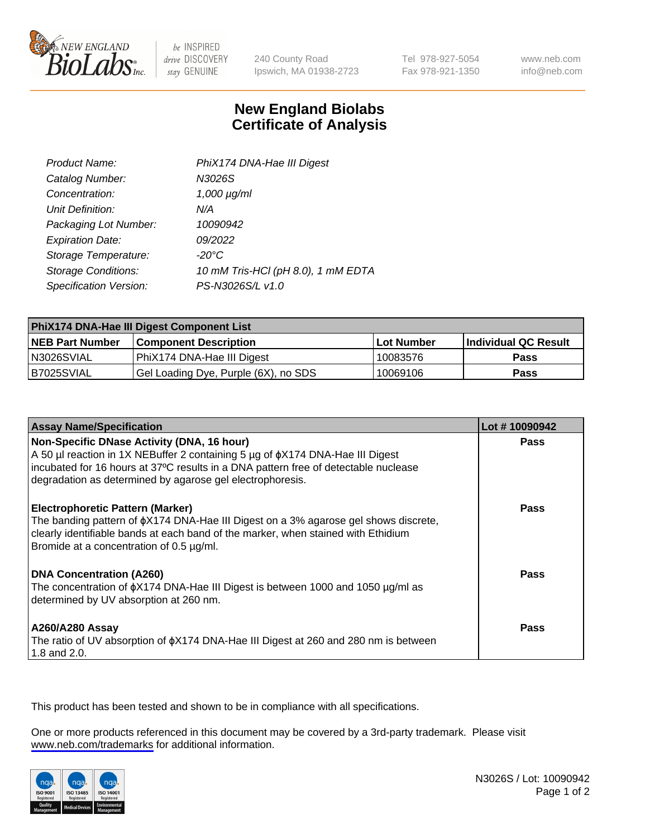

be INSPIRED drive DISCOVERY stay GENUINE

240 County Road Ipswich, MA 01938-2723 Tel 978-927-5054 Fax 978-921-1350

www.neb.com info@neb.com

## **New England Biolabs Certificate of Analysis**

| Product Name:              | PhiX174 DNA-Hae III Digest         |
|----------------------------|------------------------------------|
| Catalog Number:            | N3026S                             |
| Concentration:             | $1,000 \mu g/ml$                   |
| Unit Definition:           | N/A                                |
| Packaging Lot Number:      | 10090942                           |
| <b>Expiration Date:</b>    | 09/2022                            |
| Storage Temperature:       | -20°C                              |
| <b>Storage Conditions:</b> | 10 mM Tris-HCl (pH 8.0), 1 mM EDTA |
| Specification Version:     | PS-N3026S/L v1.0                   |

| PhiX174 DNA-Hae III Digest Component List |                                      |              |                      |  |
|-------------------------------------------|--------------------------------------|--------------|----------------------|--|
| <b>NEB Part Number</b>                    | <b>Component Description</b>         | l Lot Number | Individual QC Result |  |
| N3026SVIAL                                | PhiX174 DNA-Hae III Digest           | 10083576     | <b>Pass</b>          |  |
| IB7025SVIAL                               | Gel Loading Dye, Purple (6X), no SDS | 10069106     | <b>Pass</b>          |  |

| <b>Assay Name/Specification</b>                                                                                                                                                                                                                                                       | Lot #10090942 |
|---------------------------------------------------------------------------------------------------------------------------------------------------------------------------------------------------------------------------------------------------------------------------------------|---------------|
| Non-Specific DNase Activity (DNA, 16 hour)<br>A 50 µl reaction in 1X NEBuffer 2 containing 5 µg of $\phi$ X174 DNA-Hae III Digest<br>incubated for 16 hours at 37°C results in a DNA pattern free of detectable nuclease<br>degradation as determined by agarose gel electrophoresis. | <b>Pass</b>   |
| <b>Electrophoretic Pattern (Marker)</b><br>The banding pattern of $\phi$ X174 DNA-Hae III Digest on a 3% agarose gel shows discrete,<br>clearly identifiable bands at each band of the marker, when stained with Ethidium<br>Bromide at a concentration of 0.5 µg/ml.                 | Pass          |
| <b>DNA Concentration (A260)</b><br>The concentration of $\phi$ X174 DNA-Hae III Digest is between 1000 and 1050 µg/ml as<br>determined by UV absorption at 260 nm.                                                                                                                    | Pass          |
| A260/A280 Assay<br>The ratio of UV absorption of $\phi$ X174 DNA-Hae III Digest at 260 and 280 nm is between<br>1.8 and 2.0.                                                                                                                                                          | Pass          |

This product has been tested and shown to be in compliance with all specifications.

One or more products referenced in this document may be covered by a 3rd-party trademark. Please visit <www.neb.com/trademarks>for additional information.